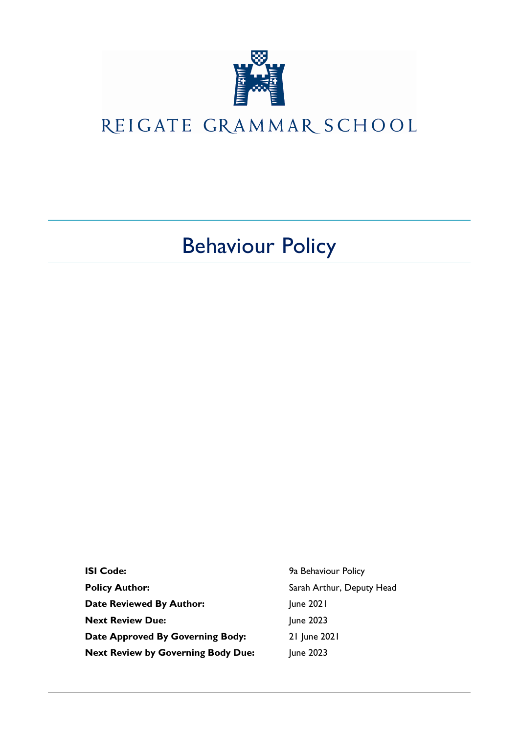

# REIGATE GRAMMAR SCHOOL

Behaviour Policy

| <b>ISI Code:</b>                          | 9a Behaviour Policy       |  |
|-------------------------------------------|---------------------------|--|
| <b>Policy Author:</b>                     | Sarah Arthur, Deputy Head |  |
| <b>Date Reviewed By Author:</b>           | June 2021                 |  |
| <b>Next Review Due:</b>                   | June 2023                 |  |
| Date Approved By Governing Body:          | 21 June 2021              |  |
| <b>Next Review by Governing Body Due:</b> | June 2023                 |  |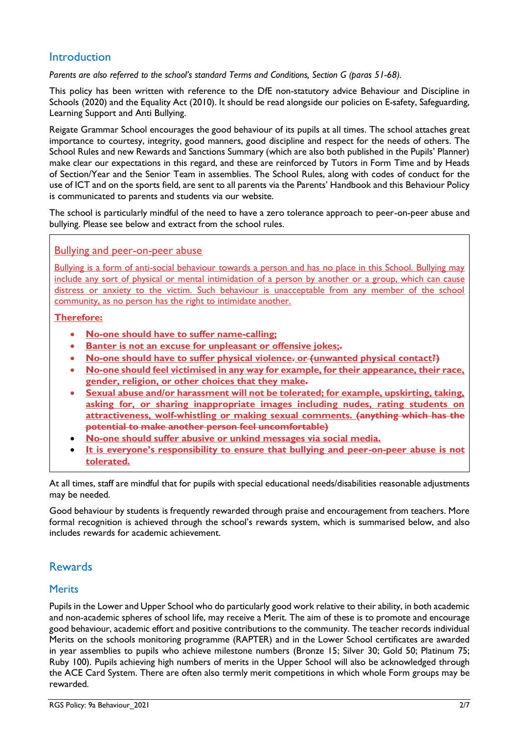### **Introduction**

*Parents are also referred to the school's standard Terms and Conditions, Section G (paras 51-68).*

This policy has been written with reference to the DfE non-statutory advice Behaviour and Discipline in Schools (2020) and the Equality Act (2010). It should be read alongside our policies on E-safety, Safeguarding, Learning Support and Anti Bullying.

Reigate Grammar School encourages the good behaviour of its pupils at all times. The school attaches great importance to courtesy, integrity, good manners, good discipline and respect for the needs of others. The School Rules and new Rewards and Sanctions Summary (which are also both published in the Pupils' Planner) make clear our expectations in this regard, and these are reinforced by Tutors in Form Time and by Heads of Section/Year and the Senior Team in assemblies. The School Rules, along with codes of conduct for the use of ICT and on the sports field, are sent to all parents via the Parents' Handbook and this Behaviour Policy is communicated to parents and students via our website.

The school is particularly mindful of the need to have a zero tolerance approach to peer-on-peer abuse and bullying. Please see below and extract from the school rules.

### Bullying and peer-on-peer abuse

Bullying is a form of anti-social behaviour towards a person and has no place in this School. Bullying may include any sort of physical or mental intimidation of a person by another or a group, which can cause distress or anxiety to the victim. Such behaviour is unacceptable from any member of the school community, as no person has the right to intimidate another.

#### **Therefore:**

- **No-one should have to suffer name-calling;**
- **Banter is not an excuse for unpleasant or offensive jokes;-**
- **No-one should have to suffer physical violence. or (unwanted physical contact?)**
- **No-one should feel victimised in any way for example, for their appearance, their race, gender, religion, or other choices that they make.**
- **Sexual abuse and/or harassment will not be tolerated; for example, upskirting, taking, asking for, or sharing inappropriate images including nudes, rating students on attractiveness, wolf-whistling or making sexual comments. (anything which has the potential to make another person feel uncomfortable)**
- **No-one should suffer abusive or unkind messages via social media.**
- **It is everyone's responsibility to ensure that bullying and peer-on-peer abuse is not tolerated.**

At all times, staff are mindful that for pupils with special educational needs/disabilities reasonable adjustments may be needed.

Good behaviour by students is frequently rewarded through praise and encouragement from teachers. More formal recognition is achieved through the school's rewards system, which is summarised below, and also includes rewards for academic achievement.

### Rewards

### **Merits**

Pupils in the Lower and Upper School who do particularly good work relative to their ability, in both academic and non-academic spheres of school life, may receive a Merit. The aim of these is to promote and encourage good behaviour, academic effort and positive contributions to the community. The teacher records individual Merits on the schools monitoring programme (RAPTER) and in the Lower School certificates are awarded in year assemblies to pupils who achieve milestone numbers (Bronze 15; Silver 30; Gold 50; Platinum 75; Ruby 100). Pupils achieving high numbers of merits in the Upper School will also be acknowledged through the ACE Card System. There are often also termly merit competitions in which whole Form groups may be rewarded.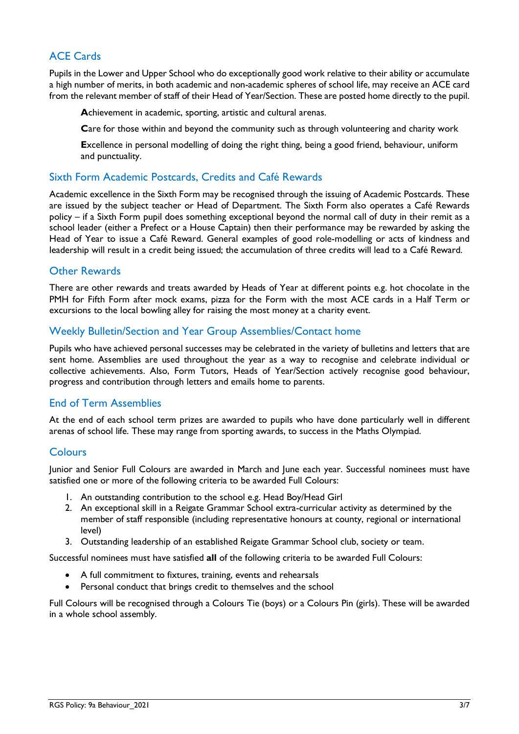### ACE Cards

Pupils in the Lower and Upper School who do exceptionally good work relative to their ability or accumulate a high number of merits, in both academic and non-academic spheres of school life, may receive an ACE card from the relevant member of staff of their Head of Year/Section. These are posted home directly to the pupil.

**A**chievement in academic, sporting, artistic and cultural arenas.

**C**are for those within and beyond the community such as through volunteering and charity work

**E**xcellence in personal modelling of doing the right thing, being a good friend, behaviour, uniform and punctuality.

### Sixth Form Academic Postcards, Credits and Café Rewards

Academic excellence in the Sixth Form may be recognised through the issuing of Academic Postcards. These are issued by the subject teacher or Head of Department. The Sixth Form also operates a Café Rewards policy – if a Sixth Form pupil does something exceptional beyond the normal call of duty in their remit as a school leader (either a Prefect or a House Captain) then their performance may be rewarded by asking the Head of Year to issue a Café Reward. General examples of good role-modelling or acts of kindness and leadership will result in a credit being issued; the accumulation of three credits will lead to a Café Reward.

### Other Rewards

There are other rewards and treats awarded by Heads of Year at different points e.g. hot chocolate in the PMH for Fifth Form after mock exams, pizza for the Form with the most ACE cards in a Half Term or excursions to the local bowling alley for raising the most money at a charity event.

### Weekly Bulletin/Section and Year Group Assemblies/Contact home

Pupils who have achieved personal successes may be celebrated in the variety of bulletins and letters that are sent home. Assemblies are used throughout the year as a way to recognise and celebrate individual or collective achievements. Also, Form Tutors, Heads of Year/Section actively recognise good behaviour, progress and contribution through letters and emails home to parents.

### End of Term Assemblies

At the end of each school term prizes are awarded to pupils who have done particularly well in different arenas of school life. These may range from sporting awards, to success in the Maths Olympiad.

### **Colours**

Junior and Senior Full Colours are awarded in March and June each year. Successful nominees must have satisfied one or more of the following criteria to be awarded Full Colours:

- 1. An outstanding contribution to the school e.g. Head Boy/Head Girl
- 2. An exceptional skill in a Reigate Grammar School extra-curricular activity as determined by the member of staff responsible (including representative honours at county, regional or international level)
- 3. Outstanding leadership of an established Reigate Grammar School club, society or team.

Successful nominees must have satisfied **all** of the following criteria to be awarded Full Colours:

- A full commitment to fixtures, training, events and rehearsals
- Personal conduct that brings credit to themselves and the school

Full Colours will be recognised through a Colours Tie (boys) or a Colours Pin (girls). These will be awarded in a whole school assembly.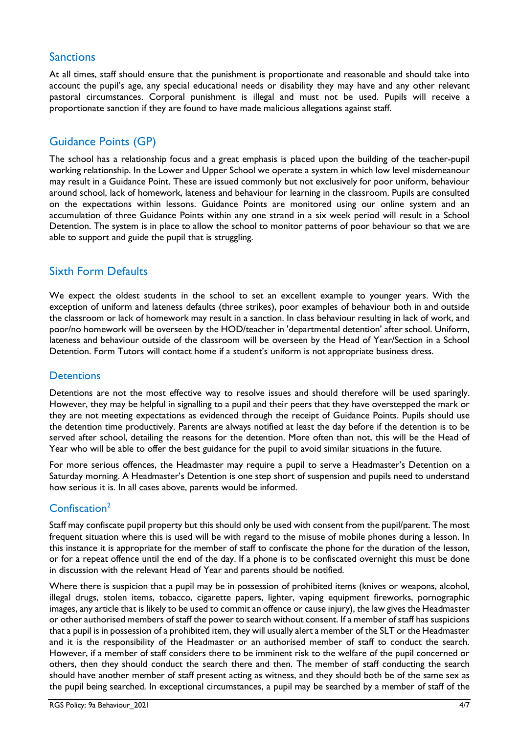### Sanctions

At all times, staff should ensure that the punishment is proportionate and reasonable and should take into account the pupil's age, any special educational needs or disability they may have and any other relevant pastoral circumstances. Corporal punishment is illegal and must not be used. Pupils will receive a proportionate sanction if they are found to have made malicious allegations against staff.

### Guidance Points (GP)

The school has a relationship focus and a great emphasis is placed upon the building of the teacher-pupil working relationship. In the Lower and Upper School we operate a system in which low level misdemeanour may result in a Guidance Point. These are issued commonly but not exclusively for poor uniform, behaviour around school, lack of homework, lateness and behaviour for learning in the classroom. Pupils are consulted on the expectations within lessons. Guidance Points are monitored using our online system and an accumulation of three Guidance Points within any one strand in a six week period will result in a School Detention. The system is in place to allow the school to monitor patterns of poor behaviour so that we are able to support and guide the pupil that is struggling.

### Sixth Form Defaults

We expect the oldest students in the school to set an excellent example to younger years. With the exception of uniform and lateness defaults (three strikes), poor examples of behaviour both in and outside the classroom or lack of homework may result in a sanction. In class behaviour resulting in lack of work, and poor/no homework will be overseen by the HOD/teacher in 'departmental detention' after school. Uniform, lateness and behaviour outside of the classroom will be overseen by the Head of Year/Section in a School Detention. Form Tutors will contact home if a student's uniform is not appropriate business dress.

### **Detentions**

Detentions are not the most effective way to resolve issues and should therefore will be used sparingly. However, they may be helpful in signalling to a pupil and their peers that they have overstepped the mark or they are not meeting expectations as evidenced through the receipt of Guidance Points. Pupils should use the detention time productively. Parents are always notified at least the day before if the detention is to be served after school, detailing the reasons for the detention. More often than not, this will be the Head of Year who will be able to offer the best guidance for the pupil to avoid similar situations in the future.

For more serious offences, the Headmaster may require a pupil to serve a Headmaster's Detention on a Saturday morning. A Headmaster's Detention is one step short of suspension and pupils need to understand how serious it is. In all cases above, parents would be informed.

### Confiscation<sup>2</sup>

Staff may confiscate pupil property but this should only be used with consent from the pupil/parent. The most frequent situation where this is used will be with regard to the misuse of mobile phones during a lesson. In this instance it is appropriate for the member of staff to confiscate the phone for the duration of the lesson, or for a repeat offence until the end of the day. If a phone is to be confiscated overnight this must be done in discussion with the relevant Head of Year and parents should be notified.

Where there is suspicion that a pupil may be in possession of prohibited items (knives or weapons, alcohol, illegal drugs, stolen items, tobacco, cigarette papers, lighter, vaping equipment fireworks, pornographic images, any article that is likely to be used to commit an offence or cause injury), the law gives the Headmaster or other authorised members of staff the power to search without consent. If a member of staff has suspicions that a pupil is in possession of a prohibited item, they will usually alert a member of the SLT or the Headmaster and it is the responsibility of the Headmaster or an authorised member of staff to conduct the search. However, if a member of staff considers there to be imminent risk to the welfare of the pupil concerned or others, then they should conduct the search there and then. The member of staff conducting the search should have another member of staff present acting as witness, and they should both be of the same sex as the pupil being searched. In exceptional circumstances, a pupil may be searched by a member of staff of the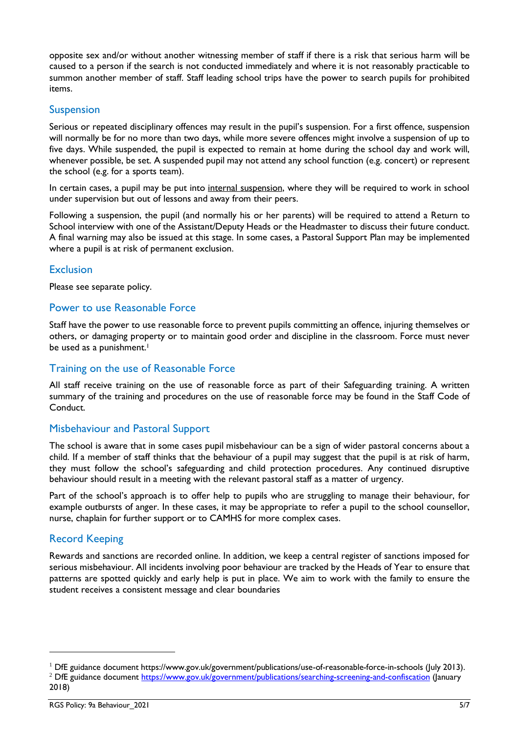opposite sex and/or without another witnessing member of staff if there is a risk that serious harm will be caused to a person if the search is not conducted immediately and where it is not reasonably practicable to summon another member of staff. Staff leading school trips have the power to search pupils for prohibited items.

#### Suspension

Serious or repeated disciplinary offences may result in the pupil's suspension. For a first offence, suspension will normally be for no more than two days, while more severe offences might involve a suspension of up to five days. While suspended, the pupil is expected to remain at home during the school day and work will, whenever possible, be set. A suspended pupil may not attend any school function (e.g. concert) or represent the school (e.g. for a sports team).

In certain cases, a pupil may be put into internal suspension, where they will be required to work in school under supervision but out of lessons and away from their peers.

Following a suspension, the pupil (and normally his or her parents) will be required to attend a Return to School interview with one of the Assistant/Deputy Heads or the Headmaster to discuss their future conduct. A final warning may also be issued at this stage. In some cases, a Pastoral Support Plan may be implemented where a pupil is at risk of permanent exclusion.

### **Exclusion**

Please see separate policy.

#### Power to use Reasonable Force

Staff have the power to use reasonable force to prevent pupils committing an offence, injuring themselves or others, or damaging property or to maintain good order and discipline in the classroom. Force must never be used as a punishment. 1

#### Training on the use of Reasonable Force

All staff receive training on the use of reasonable force as part of their Safeguarding training. A written summary of the training and procedures on the use of reasonable force may be found in the Staff Code of Conduct.

### Misbehaviour and Pastoral Support

The school is aware that in some cases pupil misbehaviour can be a sign of wider pastoral concerns about a child. If a member of staff thinks that the behaviour of a pupil may suggest that the pupil is at risk of harm, they must follow the school's safeguarding and child protection procedures. Any continued disruptive behaviour should result in a meeting with the relevant pastoral staff as a matter of urgency.

Part of the school's approach is to offer help to pupils who are struggling to manage their behaviour, for example outbursts of anger. In these cases, it may be appropriate to refer a pupil to the school counsellor, nurse, chaplain for further support or to CAMHS for more complex cases.

### Record Keeping

Rewards and sanctions are recorded online. In addition, we keep a central register of sanctions imposed for serious misbehaviour. All incidents involving poor behaviour are tracked by the Heads of Year to ensure that patterns are spotted quickly and early help is put in place. We aim to work with the family to ensure the student receives a consistent message and clear boundaries

<sup>&</sup>lt;sup>1</sup> DfE guidance document https://www.gov.uk/government/publications/use-of-reasonable-force-in-schools (July 2013). <sup>2</sup> DfE guidance document<https://www.gov.uk/government/publications/searching-screening-and-confiscation> (January 2018)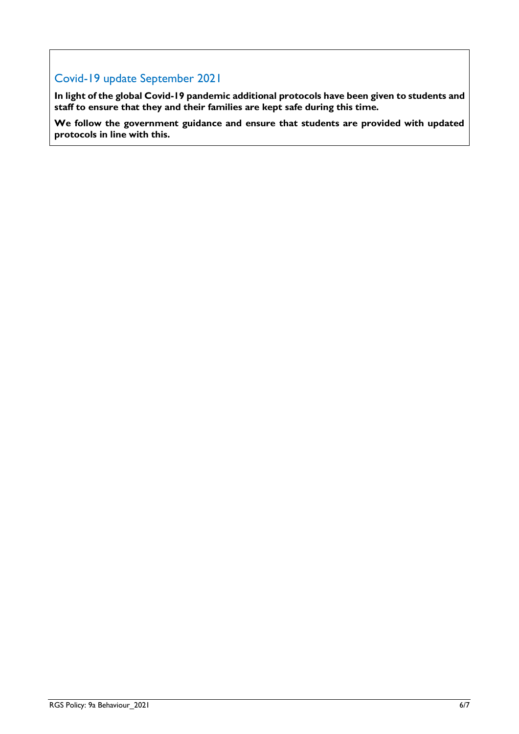## Covid-19 update September 2021

**In light of the global Covid-19 pandemic additional protocols have been given to students and staff to ensure that they and their families are kept safe during this time.**

**We follow the government guidance and ensure that students are provided with updated protocols in line with this.**